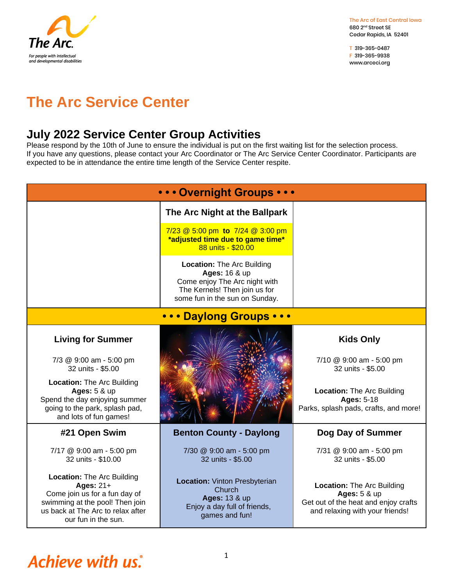

T 319-365-0487 F 319-365-9938 www.arceci.org

## **The Arc Service Center**

### **July 2022 Service Center Group Activities**

Please respond by the 10th of June to ensure the individual is put on the first waiting list for the selection process. If you have any questions, please contact your Arc Coordinator or The Arc Service Center Coordinator. Participants are expected to be in attendance the entire time length of the Service Center respite.

| • • • Overnight Groups • • •                                                                                                                                                   |                                                                                                                                                        |                                                                                                                                         |  |  |
|--------------------------------------------------------------------------------------------------------------------------------------------------------------------------------|--------------------------------------------------------------------------------------------------------------------------------------------------------|-----------------------------------------------------------------------------------------------------------------------------------------|--|--|
|                                                                                                                                                                                | The Arc Night at the Ballpark                                                                                                                          |                                                                                                                                         |  |  |
|                                                                                                                                                                                | 7/23 @ 5:00 pm to 7/24 @ 3:00 pm<br>*adjusted time due to game time*<br>88 units - \$20.00                                                             |                                                                                                                                         |  |  |
|                                                                                                                                                                                | <b>Location: The Arc Building</b><br>Ages: 16 & up<br>Come enjoy The Arc night with<br>The Kernels! Then join us for<br>some fun in the sun on Sunday. |                                                                                                                                         |  |  |
| <b>Daylong Groups • • •</b>                                                                                                                                                    |                                                                                                                                                        |                                                                                                                                         |  |  |
| <b>Living for Summer</b>                                                                                                                                                       |                                                                                                                                                        | <b>Kids Only</b>                                                                                                                        |  |  |
| 7/3 @ 9:00 am - 5:00 pm<br>32 units - \$5.00                                                                                                                                   |                                                                                                                                                        | 7/10 @ 9:00 am - 5:00 pm<br>32 units - \$5.00                                                                                           |  |  |
| <b>Location: The Arc Building</b><br><b>Ages: 5 &amp; up</b><br>Spend the day enjoying summer<br>going to the park, splash pad,<br>and lots of fun games!                      |                                                                                                                                                        | Location: The Arc Building<br><b>Ages: 5-18</b><br>Parks, splash pads, crafts, and more!                                                |  |  |
| #21 Open Swim                                                                                                                                                                  | <b>Benton County - Daylong</b>                                                                                                                         | Dog Day of Summer                                                                                                                       |  |  |
| 7/17 @ 9:00 am - 5:00 pm<br>32 units - \$10.00                                                                                                                                 | 7/30 @ 9:00 am - 5:00 pm<br>32 units - \$5.00                                                                                                          | 7/31 @ 9:00 am - 5:00 pm<br>32 units - \$5.00                                                                                           |  |  |
| <b>Location: The Arc Building</b><br>Ages: 21+<br>Come join us for a fun day of<br>swimming at the pool! Then join<br>us back at The Arc to relax after<br>our fun in the sun. | <b>Location: Vinton Presbyterian</b><br>Church<br><b>Ages: 13 &amp; up</b><br>Enjoy a day full of friends,<br>games and fun!                           | <b>Location: The Arc Building</b><br><b>Ages: 5 &amp; up</b><br>Get out of the heat and enjoy crafts<br>and relaxing with your friends! |  |  |

# **Achieve with us.**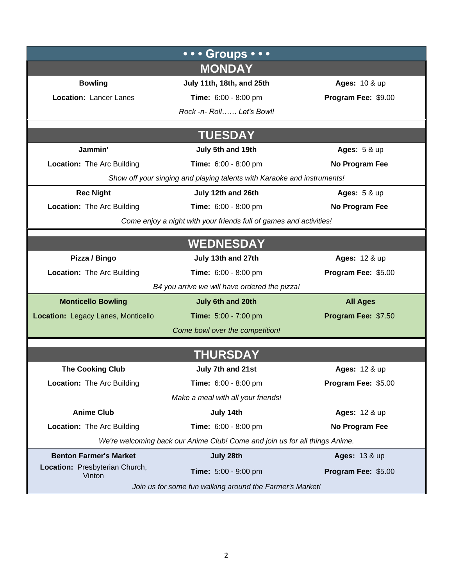|                                                                    | • • • Groups • • •                                                          |                          |  |  |  |
|--------------------------------------------------------------------|-----------------------------------------------------------------------------|--------------------------|--|--|--|
|                                                                    | <b>MONDAY</b>                                                               |                          |  |  |  |
| <b>Bowling</b>                                                     | July 11th, 18th, and 25th                                                   | Ages: 10 & up            |  |  |  |
| Location: Lancer Lanes                                             | Time: 6:00 - 8:00 pm                                                        | Program Fee: \$9.00      |  |  |  |
|                                                                    | Rock -n- Roll Let's Bowl!                                                   |                          |  |  |  |
|                                                                    |                                                                             |                          |  |  |  |
| <b>TUESDAY</b>                                                     |                                                                             |                          |  |  |  |
| Jammin'                                                            | July 5th and 19th                                                           | <b>Ages: 5 &amp; up</b>  |  |  |  |
| Location: The Arc Building                                         | Time: 6:00 - 8:00 pm                                                        | No Program Fee           |  |  |  |
|                                                                    | Show off your singing and playing talents with Karaoke and instruments!     |                          |  |  |  |
| <b>Rec Night</b>                                                   | July 12th and 26th                                                          | <b>Ages: 5 &amp; up</b>  |  |  |  |
| <b>Location: The Arc Building</b>                                  | Time: 6:00 - 8:00 pm                                                        | No Program Fee           |  |  |  |
| Come enjoy a night with your friends full of games and activities! |                                                                             |                          |  |  |  |
|                                                                    |                                                                             |                          |  |  |  |
|                                                                    | <b>WEDNESDAY</b>                                                            |                          |  |  |  |
| Pizza / Bingo                                                      | July 13th and 27th                                                          | Ages: 12 & up            |  |  |  |
| <b>Location:</b> The Arc Building                                  | Time: 6:00 - 8:00 pm                                                        | Program Fee: \$5.00      |  |  |  |
|                                                                    | B4 you arrive we will have ordered the pizza!                               |                          |  |  |  |
| <b>Monticello Bowling</b>                                          | July 6th and 20th                                                           | <b>All Ages</b>          |  |  |  |
| Location: Legacy Lanes, Monticello                                 | Time: 5:00 - 7:00 pm                                                        | Program Fee: \$7.50      |  |  |  |
|                                                                    | Come bowl over the competition!                                             |                          |  |  |  |
|                                                                    |                                                                             |                          |  |  |  |
|                                                                    | <b>THURSDAY</b>                                                             |                          |  |  |  |
| <b>The Cooking Club</b>                                            | July 7th and 21st                                                           | Ages: 12 & up            |  |  |  |
| Location: The Arc Building                                         | Time: 6:00 - 8:00 pm                                                        | Program Fee: \$5.00      |  |  |  |
|                                                                    | Make a meal with all your friends!                                          |                          |  |  |  |
| <b>Anime Club</b>                                                  | July 14th                                                                   | Ages: 12 & up            |  |  |  |
| Location: The Arc Building                                         | Time: 6:00 - 8:00 pm                                                        | No Program Fee           |  |  |  |
|                                                                    | We're welcoming back our Anime Club! Come and join us for all things Anime. |                          |  |  |  |
| <b>Benton Farmer's Market</b>                                      | July 28th                                                                   | <b>Ages: 13 &amp; up</b> |  |  |  |
| Location: Presbyterian Church,<br>Vinton                           | Time: 5:00 - 9:00 pm                                                        | Program Fee: \$5.00      |  |  |  |
| Join us for some fun walking around the Farmer's Market!           |                                                                             |                          |  |  |  |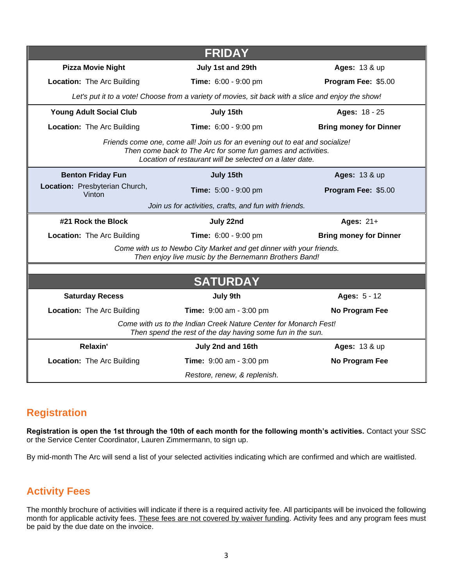|                                                                                                                                                                                                          | <b>FRIDAY</b>                                                                                                                  |                               |  |  |
|----------------------------------------------------------------------------------------------------------------------------------------------------------------------------------------------------------|--------------------------------------------------------------------------------------------------------------------------------|-------------------------------|--|--|
| <b>Pizza Movie Night</b>                                                                                                                                                                                 | July 1st and 29th                                                                                                              | Ages: 13 & up                 |  |  |
| <b>Location:</b> The Arc Building                                                                                                                                                                        | Time: 6:00 - 9:00 pm                                                                                                           | Program Fee: \$5.00           |  |  |
| Let's put it to a vote! Choose from a variety of movies, sit back with a slice and enjoy the show!                                                                                                       |                                                                                                                                |                               |  |  |
| <b>Young Adult Social Club</b>                                                                                                                                                                           | July 15th                                                                                                                      | Ages: 18 - 25                 |  |  |
| Location: The Arc Building                                                                                                                                                                               | Time: 6:00 - 9:00 pm                                                                                                           | <b>Bring money for Dinner</b> |  |  |
| Friends come one, come all! Join us for an evening out to eat and socialize!<br>Then come back to The Arc for some fun games and activities.<br>Location of restaurant will be selected on a later date. |                                                                                                                                |                               |  |  |
| <b>Benton Friday Fun</b>                                                                                                                                                                                 | July 15th                                                                                                                      | <b>Ages: 13 &amp; up</b>      |  |  |
| Location: Presbyterian Church,<br>Vinton                                                                                                                                                                 | Time: 5:00 - 9:00 pm                                                                                                           | Program Fee: \$5.00           |  |  |
| Join us for activities, crafts, and fun with friends.                                                                                                                                                    |                                                                                                                                |                               |  |  |
|                                                                                                                                                                                                          |                                                                                                                                |                               |  |  |
| #21 Rock the Block                                                                                                                                                                                       | July 22nd                                                                                                                      | Ages: $21+$                   |  |  |
| <b>Location:</b> The Arc Building                                                                                                                                                                        | Time: 6:00 - 9:00 pm                                                                                                           | <b>Bring money for Dinner</b> |  |  |
|                                                                                                                                                                                                          | Come with us to Newbo City Market and get dinner with your friends.<br>Then enjoy live music by the Bernemann Brothers Band!   |                               |  |  |
|                                                                                                                                                                                                          |                                                                                                                                |                               |  |  |
|                                                                                                                                                                                                          | <b>SATURDAY</b>                                                                                                                |                               |  |  |
| <b>Saturday Recess</b>                                                                                                                                                                                   | July 9th                                                                                                                       | Ages: 5 - 12                  |  |  |
| <b>Location:</b> The Arc Building                                                                                                                                                                        | Time: 9:00 am - 3:00 pm                                                                                                        | No Program Fee                |  |  |
|                                                                                                                                                                                                          | Come with us to the Indian Creek Nature Center for Monarch Fest!<br>Then spend the rest of the day having some fun in the sun. |                               |  |  |
| Relaxin'                                                                                                                                                                                                 | July 2nd and 16th                                                                                                              | Ages: 13 & up                 |  |  |
| Location: The Arc Building                                                                                                                                                                               | <b>Time:</b> 9:00 am - 3:00 pm                                                                                                 | No Program Fee                |  |  |

#### **Registration**

**Registration is open the 1st through the 10th of each month for the following month's activities.** Contact your SSC or the Service Center Coordinator, Lauren Zimmermann, to sign up.

By mid-month The Arc will send a list of your selected activities indicating which are confirmed and which are waitlisted.

#### **Activity Fees**

The monthly brochure of activities will indicate if there is a required activity fee. All participants will be invoiced the following month for applicable activity fees. These fees are not covered by waiver funding. Activity fees and any program fees must be paid by the due date on the invoice.